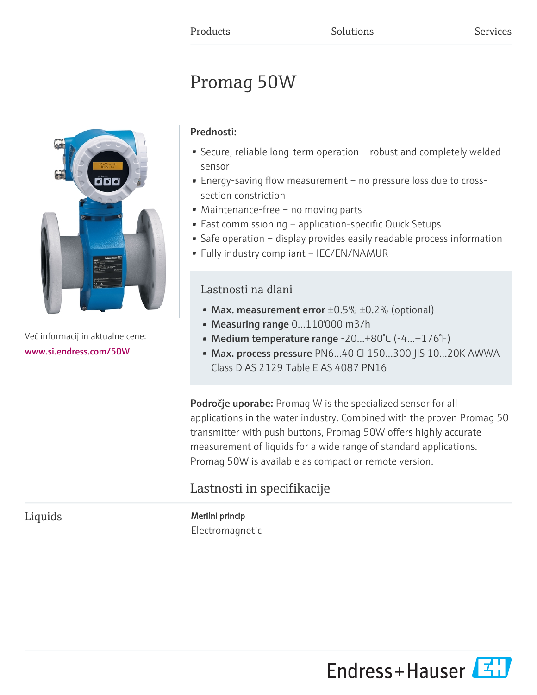# Promag 50W



Več informacij in aktualne cene: [www.si.endress.com/50W](https://www.si.endress.com/50W)

## Prednosti:

- Secure, reliable long-term operation robust and completely welded sensor
- Energy-saving flow measurement no pressure loss due to crosssection constriction
- Maintenance-free no moving parts
- Fast commissioning application-specific Quick Setups
- Safe operation display provides easily readable process information
- Fully industry compliant IEC/EN/NAMUR

## Lastnosti na dlani

- Max. measurement error  $\pm 0.5\%$   $\pm 0.2\%$  (optional)
- Measuring range 0...110'000 m3/h
- Medium temperature range -20...+80°C (-4...+176°F)
- Max. process pressure PN6...40 Cl 150...300 JIS 10...20K AWWA Class D AS 2129 Table E AS 4087 PN16

Področje uporabe: Promag W is the specialized sensor for all applications in the water industry. Combined with the proven Promag 50 transmitter with push buttons, Promag 50W offers highly accurate measurement of liquids for a wide range of standard applications. Promag 50W is available as compact or remote version.

## Lastnosti in specifikacije

Liquids Merilni princip Electromagnetic

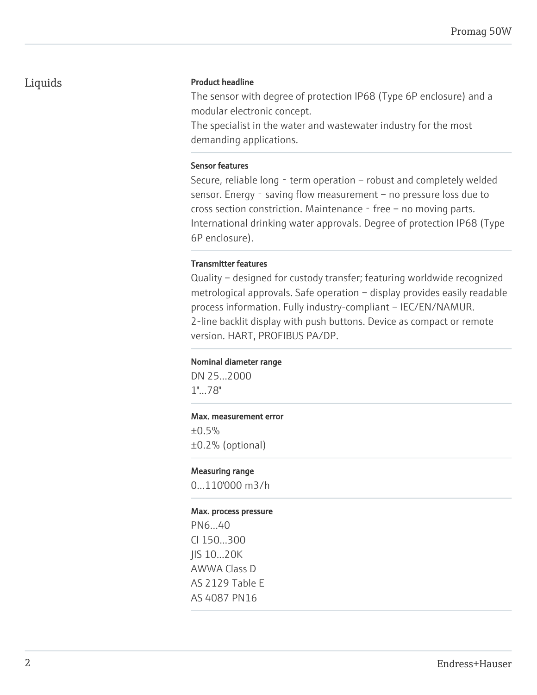## Liquids **Product headline**

The sensor with degree of protection IP68 (Type 6P enclosure) and a modular electronic concept.

The specialist in the water and wastewater industry for the most demanding applications.

## Sensor features

Secure, reliable long - term operation - robust and completely welded sensor. Energy - saving flow measurement – no pressure loss due to cross section constriction. Maintenance  $-$  free  $-$  no moving parts. International drinking water approvals. Degree of protection IP68 (Type 6P enclosure).

## Transmitter features

Quality – designed for custody transfer; featuring worldwide recognized metrological approvals. Safe operation – display provides easily readable process information. Fully industry-compliant – IEC/EN/NAMUR. 2-line backlit display with push buttons. Device as compact or remote version. HART, PROFIBUS PA/DP.

## Nominal diameter range

DN 25...2000 1"...78"

## Max. measurement error

±0.5% ±0.2% (optional)

## Measuring range

0...110'000 m3/h

## Max. process pressure

PN6...40 Cl 150...300 JIS 10...20K AWWA Class D AS 2129 Table E AS 4087 PN16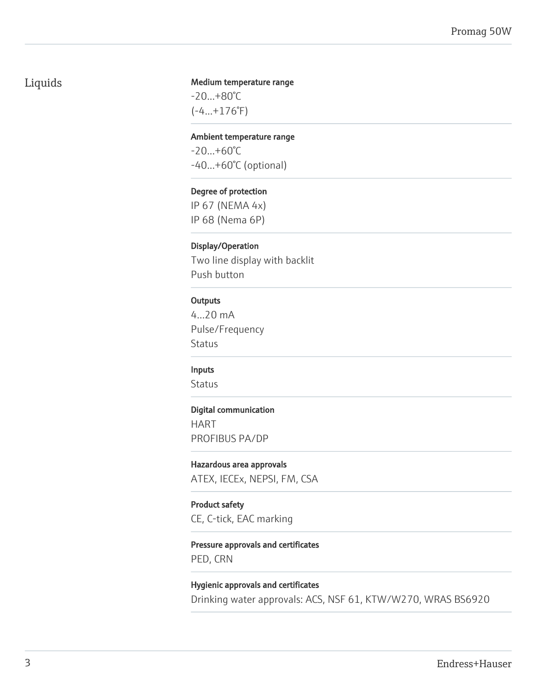## Liquids

## Medium temperature range

-20...+80°C (-4...+176°F)

#### Ambient temperature range

-20...+60°C -40...+60°C (optional)

## Degree of protection

IP 67 (NEMA 4x) IP 68 (Nema 6P)

## Display/Operation

Two line display with backlit Push button

## **Outputs**

4...20 mA Pulse/Frequency Status

## Inputs

**Status** 

## Digital communication

HART PROFIBUS PA/DP

## Hazardous area approvals

ATEX, IECEx, NEPSI, FM, CSA

## Product safety

CE, C-tick, EAC marking

## Pressure approvals and certificates PED, CRN

Hygienic approvals and certificates Drinking water approvals: ACS, NSF 61, KTW/W270, WRAS BS6920